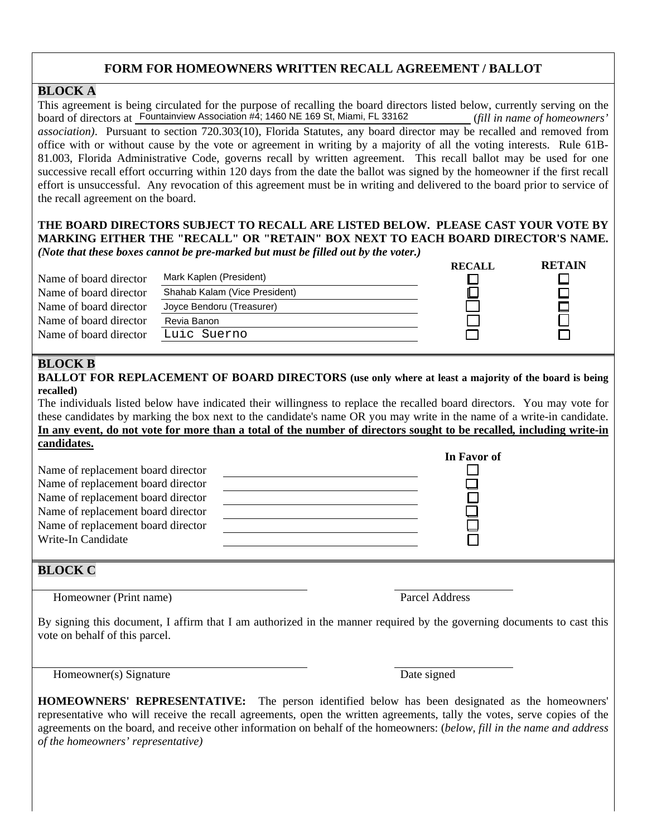## **FORM FOR HOMEOWNERS WRITTEN RECALL AGREEMENT / BALLOT**

### **BLOCK A**

This agreement is being circulated for the purpose of recalling the board directors listed below, currently serving on the board of directors at **Fountainview Association #4**; 1460 NE 169 St, Miami, FL 33162 (*fill in name of homeowners' association)*. Pursuant to section 720.303(10), Florida Statutes, any board director may be recalled and removed from office with or without cause by the vote or agreement in writing by a majority of all the voting interests. Rule 61B-81.003, Florida Administrative Code, governs recall by written agreement. This recall ballot may be used for one successive recall effort occurring within 120 days from the date the ballot was signed by the homeowner if the first recall effort is unsuccessful. Any revocation of this agreement must be in writing and delivered to the board prior to service of the recall agreement on the board.

#### **THE BOARD DIRECTORS SUBJECT TO RECALL ARE LISTED BELOW. PLEASE CAST YOUR VOTE BY MARKING EITHER THE "RECALL" OR "RETAIN" BOX NEXT TO EACH BOARD DIRECTOR'S NAME.** *(Note that these boxes cannot be pre-marked but must be filled out by the voter.)*

|                        |                               | RECALL | <b>KETAIN</b> |
|------------------------|-------------------------------|--------|---------------|
| Name of board director | Mark Kaplen (President)       |        |               |
| Name of board director | Shahab Kalam (Vice President) |        |               |
| Name of board director | Joyce Bendoru (Treasurer)     |        |               |
| Name of board director | Revia Banon                   |        |               |
| Name of board director | Luic Suerno                   |        |               |
|                        |                               |        |               |

# **BLOCK B**

**BALLOT FOR REPLACEMENT OF BOARD DIRECTORS (use only where at least a majority of the board is being recalled)** 

The individuals listed below have indicated their willingness to replace the recalled board directors. You may vote for these candidates by marking the box next to the candidate's name OR you may write in the name of a write-in candidate. **In any event, do not vote for more than a total of the number of directors sought to be recalled***,* **including write-in candidates.**

|                                    | In Favor of |
|------------------------------------|-------------|
| Name of replacement board director |             |
| Name of replacement board director |             |
| Name of replacement board director |             |
| Name of replacement board director |             |
| Name of replacement board director |             |
| Write-In Candidate                 |             |
|                                    |             |

### **BLOCK C**

Homeowner (Print name) Parcel Address

**RECALL RETAIN** 

By signing this document, I affirm that I am authorized in the manner required by the governing documents to cast this vote on behalf of this parcel.

Homeowner(s) Signature Date signed

**HOMEOWNERS' REPRESENTATIVE:** The person identified below has been designated as the homeowners' representative who will receive the recall agreements, open the written agreements, tally the votes, serve copies of the agreements on the board, and receive other information on behalf of the homeowners: (*below, fill in the name and address of the homeowners' representative)*